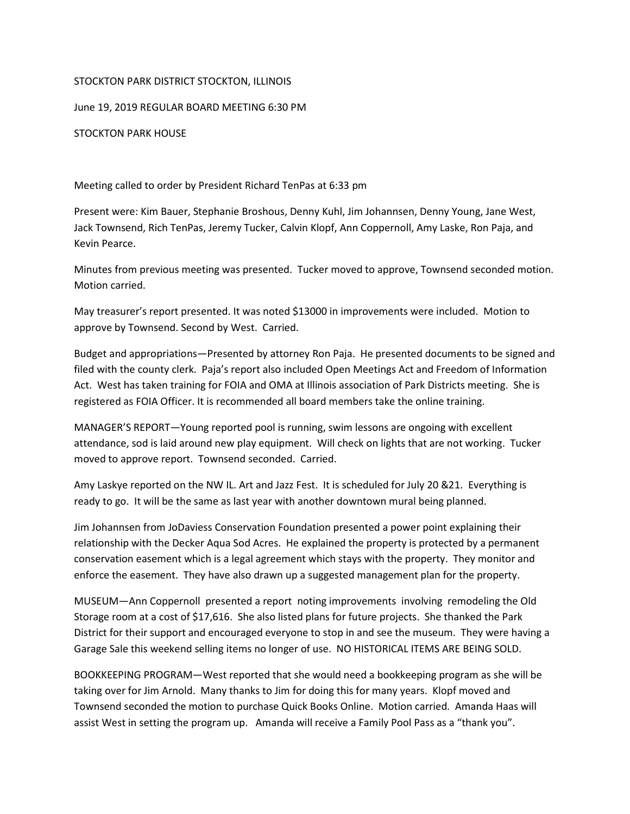## STOCKTON PARK DISTRICT STOCKTON, ILLINOIS

June 19, 2019 REGULAR BOARD MEETING 6:30 PM

STOCKTON PARK HOUSE

Meeting called to order by President Richard TenPas at 6:33 pm

Present were: Kim Bauer, Stephanie Broshous, Denny Kuhl, Jim Johannsen, Denny Young, Jane West, Jack Townsend, Rich TenPas, Jeremy Tucker, Calvin Klopf, Ann Coppernoll, Amy Laske, Ron Paja, and Kevin Pearce.

Minutes from previous meeting was presented. Tucker moved to approve, Townsend seconded motion. Motion carried.

May treasurer's report presented. It was noted \$13000 in improvements were included. Motion to approve by Townsend. Second by West. Carried.

Budget and appropriations—Presented by attorney Ron Paja. He presented documents to be signed and filed with the county clerk. Paja's report also included Open Meetings Act and Freedom of Information Act. West has taken training for FOIA and OMA at Illinois association of Park Districts meeting. She is registered as FOIA Officer. It is recommended all board members take the online training.

MANAGER'S REPORT—Young reported pool is running, swim lessons are ongoing with excellent attendance, sod is laid around new play equipment. Will check on lights that are not working. Tucker moved to approve report. Townsend seconded. Carried.

Amy Laskye reported on the NW IL. Art and Jazz Fest. It is scheduled for July 20 &21. Everything is ready to go. It will be the same as last year with another downtown mural being planned.

Jim Johannsen from JoDaviess Conservation Foundation presented a power point explaining their relationship with the Decker Aqua Sod Acres. He explained the property is protected by a permanent conservation easement which is a legal agreement which stays with the property. They monitor and enforce the easement. They have also drawn up a suggested management plan for the property.

MUSEUM—Ann Coppernoll presented a report noting improvements involving remodeling the Old Storage room at a cost of \$17,616. She also listed plans for future projects. She thanked the Park District for their support and encouraged everyone to stop in and see the museum. They were having a Garage Sale this weekend selling items no longer of use. NO HISTORICAL ITEMS ARE BEING SOLD.

BOOKKEEPING PROGRAM—West reported that she would need a bookkeeping program as she will be taking over for Jim Arnold. Many thanks to Jim for doing this for many years. Klopf moved and Townsend seconded the motion to purchase Quick Books Online. Motion carried. Amanda Haas will assist West in setting the program up. Amanda will receive a Family Pool Pass as a "thank you".